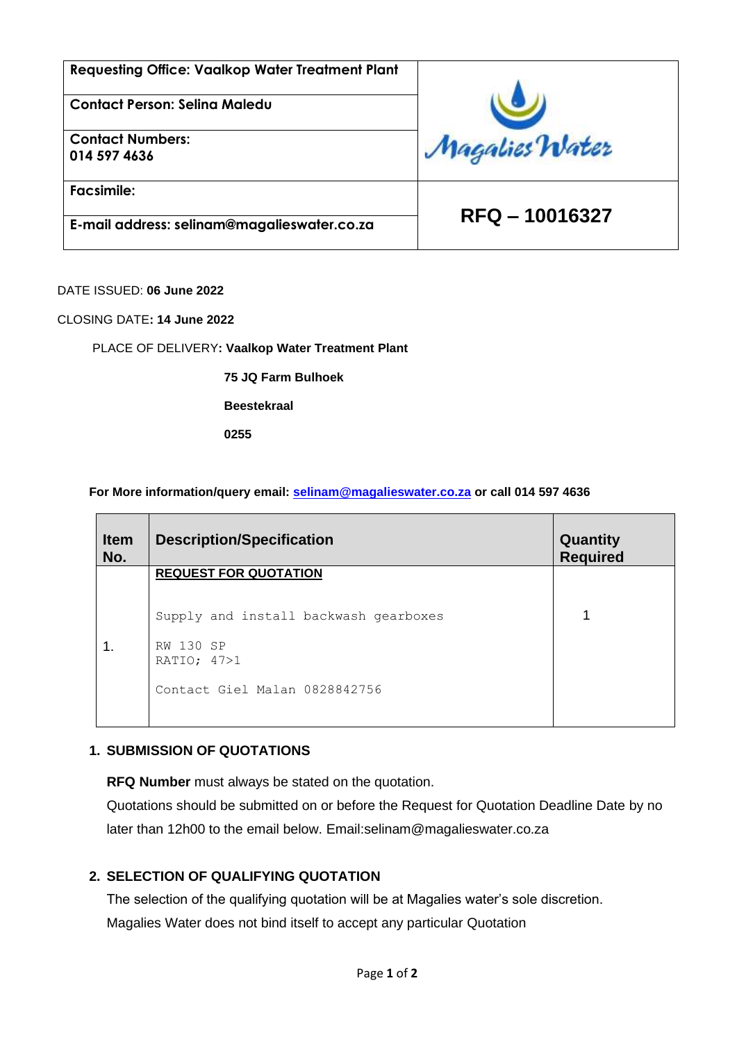| <b>Requesting Office: Vaalkop Water Treatment Plant</b> |                |  |
|---------------------------------------------------------|----------------|--|
| Contact Person: Selina Maledu                           |                |  |
| <b>Contact Numbers:</b><br>014 597 4636                 | Magalies Water |  |
| <b>Facsimile:</b>                                       | RFQ - 10016327 |  |
| E-mail address: selinam@magalieswater.co.za             |                |  |

DATE ISSUED: **06 June 2022**

CLOSING DATE**: 14 June 2022**

PLACE OF DELIVERY**: Vaalkop Water Treatment Plant** 

**75 JQ Farm Bulhoek** 

**Beestekraal** 

**0255**

**For More information/query email: [selinam@magalieswater.co.za](mailto:selinam@magalieswater.co.za) or call 014 597 4636**

| <b>Item</b><br>No. | <b>Description/Specification</b>      | Quantity<br><b>Required</b> |
|--------------------|---------------------------------------|-----------------------------|
|                    | <b>REQUEST FOR QUOTATION</b>          |                             |
|                    | Supply and install backwash gearboxes |                             |
|                    | RW 130 SP<br>RATIO; 47>1              |                             |
|                    | Contact Giel Malan 0828842756         |                             |

#### **1. SUBMISSION OF QUOTATIONS**

**RFQ Number** must always be stated on the quotation.

Quotations should be submitted on or before the Request for Quotation Deadline Date by no later than 12h00 to the email below. Email:selinam@magalieswater.co.za

## **2. SELECTION OF QUALIFYING QUOTATION**

The selection of the qualifying quotation will be at Magalies water's sole discretion. Magalies Water does not bind itself to accept any particular Quotation